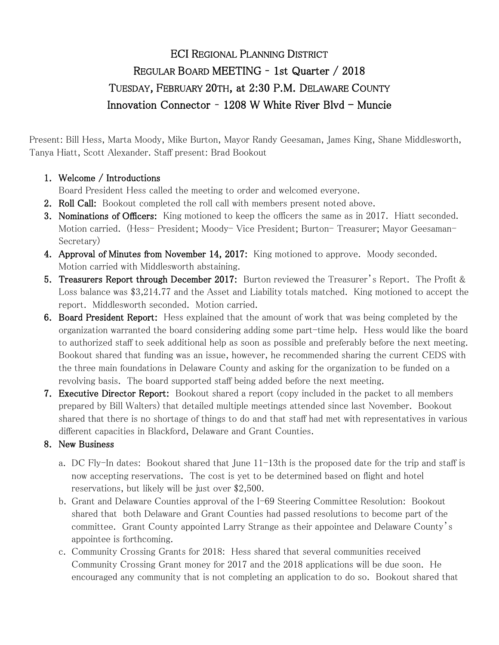# ECI REGIONAL PLANNING DISTRICT REGULAR BOARD MEETING – 1st Quarter / 2018 TUESDAY, FEBRUARY 20TH, at 2:30 P.M. DELAWARE COUNTY Innovation Connector - 1208 W White River Blvd - Muncie

Present: Bill Hess, Marta Moody, Mike Burton, Mayor Randy Geesaman, James King, Shane Middlesworth, Tanya Hiatt, Scott Alexander. Staff present: Brad Bookout

## 1. Welcome / Introductions

Board President Hess called the meeting to order and welcomed everyone.

- 2. Roll Call: Bookout completed the roll call with members present noted above.
- 3. Nominations of Officers: King motioned to keep the officers the same as in 2017. Hiatt seconded. Motion carried. (Hess- President; Moody- Vice President; Burton- Treasurer; Mayor Geesaman-Secretary)
- 4. Approval of Minutes from November 14, 2017: King motioned to approve. Moody seconded. Motion carried with Middlesworth abstaining.
- 5. Treasurers Report through December 2017: Burton reviewed the Treasurer's Report. The Profit & Loss balance was \$3,214.77 and the Asset and Liability totals matched. King motioned to accept the report. Middlesworth seconded. Motion carried.
- 6. Board President Report: Hess explained that the amount of work that was being completed by the organization warranted the board considering adding some part-time help. Hess would like the board to authorized staff to seek additional help as soon as possible and preferably before the next meeting. Bookout shared that funding was an issue, however, he recommended sharing the current CEDS with the three main foundations in Delaware County and asking for the organization to be funded on a revolving basis. The board supported staff being added before the next meeting.
- 7. Executive Director Report: Bookout shared a report (copy included in the packet to all members prepared by Bill Walters) that detailed multiple meetings attended since last November. Bookout shared that there is no shortage of things to do and that staff had met with representatives in various different capacities in Blackford, Delaware and Grant Counties.

#### 8. New Business

- a. DC Fly-In dates: Bookout shared that June 11-13th is the proposed date for the trip and staff is now accepting reservations. The cost is yet to be determined based on flight and hotel reservations, but likely will be just over \$2,500.
- b. Grant and Delaware Counties approval of the I-69 Steering Committee Resolution: Bookout shared that both Delaware and Grant Counties had passed resolutions to become part of the committee. Grant County appointed Larry Strange as their appointee and Delaware County's appointee is forthcoming.
- c. Community Crossing Grants for 2018: Hess shared that several communities received Community Crossing Grant money for 2017 and the 2018 applications will be due soon. He encouraged any community that is not completing an application to do so. Bookout shared that